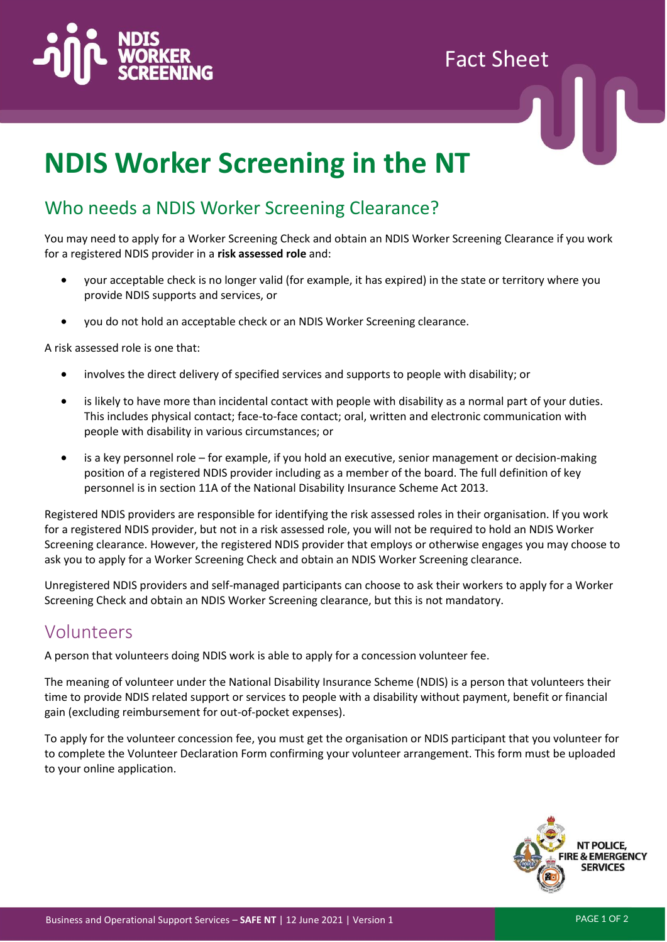

# Fact Sheet

# **NDIS Worker Screening in the NT**

#### Who needs a NDIS Worker Screening Clearance?

You may need to apply for a Worker Screening Check and obtain an NDIS Worker Screening Clearance if you work for a registered NDIS provider in a **risk assessed role** and:

- your acceptable check is no longer valid (for example, it has expired) in the state or territory where you provide NDIS supports and services, or
- you do not hold an acceptable check or an NDIS Worker Screening clearance.

A risk assessed role is one that:

- involves the direct delivery of specified services and supports to people with disability; or
- is likely to have more than incidental contact with people with disability as a normal part of your duties. This includes physical contact; face-to-face contact; oral, written and electronic communication with people with disability in various circumstances; or
- is a key personnel role for example, if you hold an executive, senior management or decision-making position of a registered NDIS provider including as a member of the board. The full definition of key personnel is in section 11A of the National Disability Insurance Scheme Act 2013.

Registered NDIS providers are responsible for identifying the risk assessed roles in their organisation. If you work for a registered NDIS provider, but not in a risk assessed role, you will not be required to hold an NDIS Worker Screening clearance. However, the registered NDIS provider that employs or otherwise engages you may choose to ask you to apply for a Worker Screening Check and obtain an NDIS Worker Screening clearance.

Unregistered NDIS providers and self-managed participants can choose to ask their workers to apply for a Worker Screening Check and obtain an NDIS Worker Screening clearance, but this is not mandatory.

#### Volunteers

A person that volunteers doing NDIS work is able to apply for a concession volunteer fee.

The meaning of volunteer under the National Disability Insurance Scheme (NDIS) is a person that volunteers their time to provide NDIS related support or services to people with a disability without payment, benefit or financial gain (excluding reimbursement for out-of-pocket expenses).

To apply for the volunteer concession fee, you must get the organisation or NDIS participant that you volunteer for to complete the Volunteer Declaration Form confirming your volunteer arrangement. This form must be uploaded to your online application.